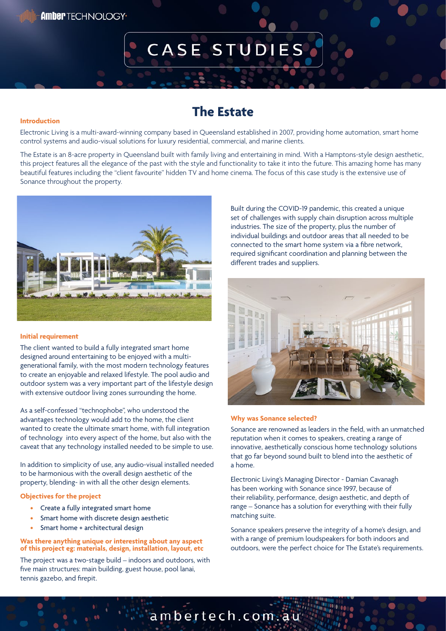# CASE STUDIES

### **The Estate**

#### **Introduction**

Electronic Living is a multi-award-winning company based in Queensland established in 2007, providing home automation, smart home control systems and audio-visual solutions for luxury residential, commercial, and marine clients.

The Estate is an 8-acre property in Queensland built with family living and entertaining in mind. With a Hamptons-style design aesthetic, this project features all the elegance of the past with the style and functionality to take it into the future. This amazing home has many beautiful features including the "client favourite" hidden TV and home cinema. The focus of this case study is the extensive use of Sonance throughout the property.



#### **Initial requirement**

The client wanted to build a fully integrated smart home designed around entertaining to be enjoyed with a multigenerational family, with the most modern technology features to create an enjoyable and relaxed lifestyle. The pool audio and outdoor system was a very important part of the lifestyle design with extensive outdoor living zones surrounding the home.

As a self-confessed "technophobe", who understood the advantages technology would add to the home, the client wanted to create the ultimate smart home, with full integration of technology into every aspect of the home, but also with the caveat that any technology installed needed to be simple to use.

In addition to simplicity of use, any audio-visual installed needed to be harmonious with the overall design aesthetic of the property, blending- in with all the other design elements.

#### **Objectives for the project**

- Create a fully integrated smart home
- Smart home with discrete design aesthetic
- Smart home + architectural design

#### **Was there anything unique or interesting about any aspect of this project eg: materials, design, installation, layout, etc**

The project was a two-stage build – indoors and outdoors, with five main structures: main building, guest house, pool lanai, tennis gazebo, and firepit.

Built during the COVID-19 pandemic, this created a unique set of challenges with supply chain disruption across multiple industries. The size of the property, plus the number of individual buildings and outdoor areas that all needed to be connected to the smart home system via a fibre network, required significant coordination and planning between the different trades and suppliers.



#### **Why was Sonance selected?**

Sonance are renowned as leaders in the field, with an unmatched reputation when it comes to speakers, creating a range of innovative, aesthetically conscious home technology solutions that go far beyond sound built to blend into the aesthetic of a home.

Electronic Living's Managing Director - Damian Cavanagh has been working with Sonance since 1997, because of their reliability, performance, design aesthetic, and depth of range – Sonance has a solution for everything with their fully matching suite.

Sonance speakers preserve the integrity of a home's design, and with a range of premium loudspeakers for both indoors and outdoors, were the perfect choice for The Estate's requirements.

ambertech.com.au